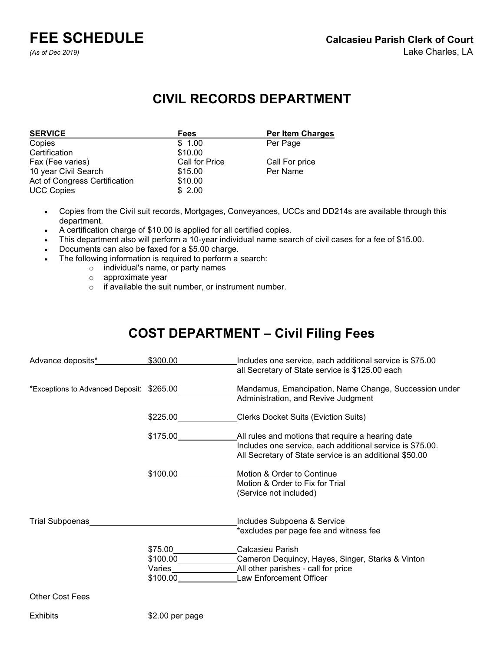**FEE SCHEDULE Calcasieu Parish Clerk of Court**

# **CIVIL RECORDS DEPARTMENT**

| <b>SERVICE</b>                | <b>Fees</b>           | <b>Per Item Charges</b> |
|-------------------------------|-----------------------|-------------------------|
| Copies                        | \$1.00                | Per Page                |
| Certification                 | \$10.00               |                         |
| Fax (Fee varies)              | <b>Call for Price</b> | Call For price          |
| 10 year Civil Search          | \$15.00               | Per Name                |
| Act of Congress Certification | \$10.00               |                         |
| <b>UCC Copies</b>             | \$2.00                |                         |

- Copies from the Civil suit records, Mortgages, Conveyances, UCCs and DD214s are available through this department.
- A certification charge of \$10.00 is applied for all certified copies.
- This department also will perform a 10-year individual name search of civil cases for a fee of \$15.00.
- Documents can also be faxed for a \$5.00 charge.
- The following information is required to perform a search:
	- o individual's name, or party names
		- o approximate year
		- o if available the suit number, or instrument number.

# **COST DEPARTMENT – Civil Filing Fees**

| Advance deposits*<br><u>Advance</u> deposits* | \$300.00                        | Includes one service, each additional service is \$75.00<br>all Secretary of State service is \$125.00 each                                                               |
|-----------------------------------------------|---------------------------------|---------------------------------------------------------------------------------------------------------------------------------------------------------------------------|
| *Exceptions to Advanced Deposit: \$265.00     |                                 | Mandamus, Emancipation, Name Change, Succession under<br>Administration, and Revive Judgment                                                                              |
|                                               | \$225.00                        | <b>Clerks Docket Suits (Eviction Suits)</b>                                                                                                                               |
|                                               | \$175.00                        | All rules and motions that require a hearing date<br>Includes one service, each additional service is \$75.00.<br>All Secretary of State service is an additional \$50.00 |
|                                               | \$100.00                        | Motion & Order to Continue<br>Motion & Order to Fix for Trial<br>(Service not included)                                                                                   |
| Trial Subpoenas                               |                                 | Includes Subpoena & Service<br>*excludes per page fee and witness fee                                                                                                     |
|                                               | \$75.00<br>\$100.00<br>\$100.00 | Calcasieu Parish<br>Cameron Dequincy, Hayes, Singer, Starks & Vinton<br>Law Enforcement Officer                                                                           |
| <b>Other Cost Fees</b>                        |                                 |                                                                                                                                                                           |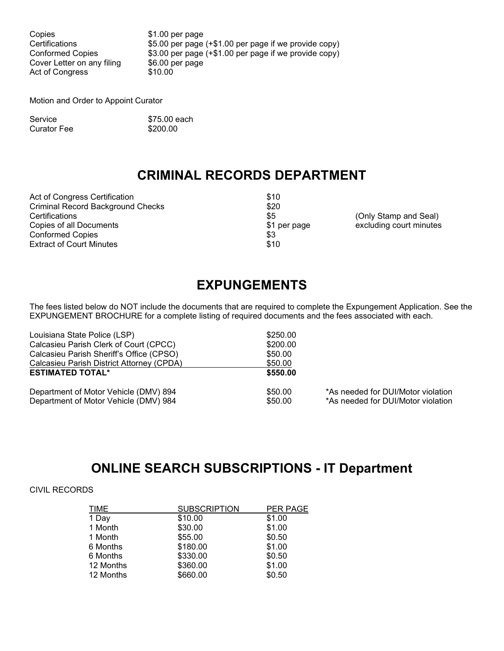Copies  $$1.00$  per page Cover Letter on any filing \$6.00 p<br>Act of Congress \$10.00 Act of Congress

Certifications \$5.00 per page (+\$1.00 per page if we provide copy)<br>Conformed Copies \$3.00 per page (+\$1.00 per page if we provide copy) \$3.00 per page (+\$1.00 per page if we provide copy)<br>\$6.00 per page

Motion and Order to Appoint Curator

| Service     | \$75.00 each |
|-------------|--------------|
| Curator Fee | \$200.00     |

# **CRIMINAL RECORDS DEPARTMENT**

Act of Congress Certification  $$10$ Criminal Record Background Checks \$20 Certifications \$5 (Only Stamp and Seal) Conformed Copies \$3<br>
Extract of Court Minutes \$10 **Extract of Court Minutes** 

\$1 per page excluding court minutes \$3

# **EXPUNGEMENTS**

The fees listed below do NOT include the documents that are required to complete the Expungement Application. See the EXPUNGEMENT BROCHURE for a complete listing of required documents and the fees associated with each.

| Louisiana State Police (LSP)              | \$250.00 |                                    |
|-------------------------------------------|----------|------------------------------------|
| Calcasieu Parish Clerk of Court (CPCC)    | \$200.00 |                                    |
| Calcasieu Parish Sheriff's Office (CPSO)  | \$50.00  |                                    |
| Calcasieu Parish District Attorney (CPDA) | \$50.00  |                                    |
| <b>ESTIMATED TOTAL*</b>                   | \$550,00 |                                    |
| Department of Motor Vehicle (DMV) 894     | \$50.00  | *As needed for DUI/Motor violation |
| Department of Motor Vehicle (DMV) 984     | \$50.00  | *As needed for DUI/Motor violation |

## **ONLINE SEARCH SUBSCRIPTIONS - IT Department**

### CIVIL RECORDS

| <b>TIME</b> | <b>SUBSCRIPTION</b> | PER PAGE |
|-------------|---------------------|----------|
| 1 Day       | \$10.00             | \$1.00   |
| 1 Month     | \$30.00             | \$1.00   |
| 1 Month     | \$55.00             | \$0.50   |
| 6 Months    | \$180.00            | \$1.00   |
| 6 Months    | \$330.00            | \$0.50   |
| 12 Months   | \$360.00            | \$1.00   |
| 12 Months   | \$660.00            | \$0.50   |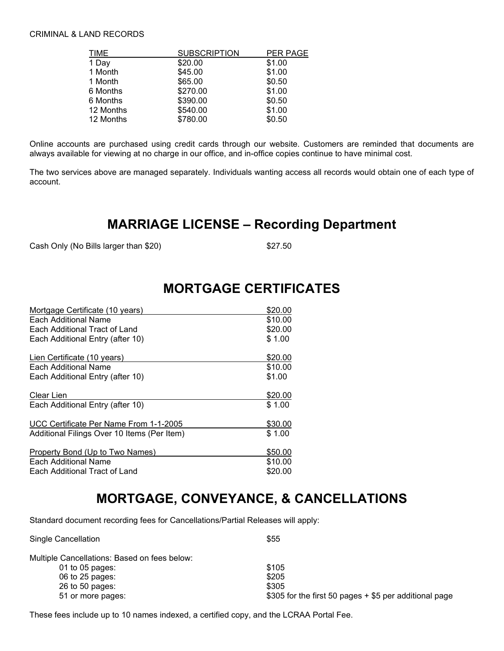#### CRIMINAL & LAND RECORDS

| <b>TIME</b> | <b>SUBSCRIPTION</b> | PER PAGE |
|-------------|---------------------|----------|
| 1 Day       | \$20.00             | \$1.00   |
| 1 Month     | \$45.00             | \$1.00   |
| 1 Month     | \$65.00             | \$0.50   |
| 6 Months    | \$270.00            | \$1.00   |
| 6 Months    | \$390.00            | \$0.50   |
| 12 Months   | \$540.00            | \$1.00   |
| 12 Months   | \$780.00            | \$0.50   |

Online accounts are purchased using credit cards through our website. Customers are reminded that documents are always available for viewing at no charge in our office, and in-office copies continue to have minimal cost.

The two services above are managed separately. Individuals wanting access all records would obtain one of each type of account.

## **MARRIAGE LICENSE – Recording Department**

Cash Only (No Bills larger than \$20) \$27.50

## **MORTGAGE CERTIFICATES**

| Mortgage Certificate (10 years)             | \$20.00 |
|---------------------------------------------|---------|
| Each Additional Name                        | \$10.00 |
| Each Additional Tract of Land               | \$20.00 |
| Each Additional Entry (after 10)            | \$1.00  |
| Lien Certificate (10 years)                 | \$20.00 |
| Each Additional Name                        | \$10.00 |
| Each Additional Entry (after 10)            | \$1.00  |
| Clear Lien                                  | \$20.00 |
| Each Additional Entry (after 10)            | \$1.00  |
| UCC Certificate Per Name From 1-1-2005      | \$30.00 |
| Additional Filings Over 10 Items (Per Item) | \$1.00  |
| Property Bond (Up to Two Names)             | \$50.00 |
| Each Additional Name                        | \$10.00 |
| Each Additional Tract of Land               | \$20.00 |

# **MORTGAGE, CONVEYANCE, & CANCELLATIONS**

Standard document recording fees for Cancellations/Partial Releases will apply:

| Single Cancellation                          | \$55                                                      |
|----------------------------------------------|-----------------------------------------------------------|
| Multiple Cancellations: Based on fees below: |                                                           |
| 01 to 05 pages:                              | \$105                                                     |
| 06 to 25 pages:                              | \$205                                                     |
| 26 to 50 pages:                              | \$305                                                     |
| 51 or more pages:                            | $$305$ for the first 50 pages $+$ \$5 per additional page |
|                                              |                                                           |

These fees include up to 10 names indexed, a certified copy, and the LCRAA Portal Fee.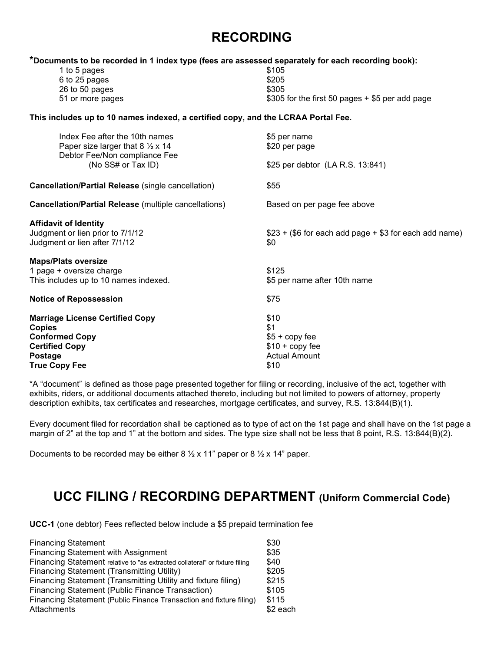# **RECORDING**

#### **\*Documents to be recorded in 1 index type (fees are assessed separately for each recording book):**

| 1 to 5 pages     | \$105                                              |
|------------------|----------------------------------------------------|
| 6 to 25 pages    | \$205                                              |
| 26 to 50 pages   | \$305                                              |
| 51 or more pages | $$305$ for the first 50 pages $+$ \$5 per add page |
|                  |                                                    |

#### **This includes up to 10 names indexed, a certified copy, and the LCRAA Portal Fee.**

| Index Fee after the 10th names<br>Paper size larger that 8 $\frac{1}{2}$ x 14<br>Debtor Fee/Non compliance Fee<br>(No SS# or Tax ID) | \$5 per name<br>\$20 per page                         |  |
|--------------------------------------------------------------------------------------------------------------------------------------|-------------------------------------------------------|--|
|                                                                                                                                      | \$25 per debtor (LA R.S. 13:841)                      |  |
| Cancellation/Partial Release (single cancellation)                                                                                   | \$55                                                  |  |
| <b>Cancellation/Partial Release</b> (multiple cancellations)                                                                         | Based on per page fee above                           |  |
| <b>Affidavit of Identity</b>                                                                                                         |                                                       |  |
| Judgment or lien prior to 7/1/12                                                                                                     | $$23 + ($6 for each add page + $3 for each add name)$ |  |
| Judgment or lien after 7/1/12                                                                                                        | \$0                                                   |  |
| <b>Maps/Plats oversize</b>                                                                                                           |                                                       |  |
| 1 page + oversize charge                                                                                                             | \$125                                                 |  |
| This includes up to 10 names indexed.                                                                                                | \$5 per name after 10th name                          |  |
| <b>Notice of Repossession</b>                                                                                                        | \$75                                                  |  |
| <b>Marriage License Certified Copy</b>                                                                                               | \$10                                                  |  |
| Copies                                                                                                                               | \$1                                                   |  |
| <b>Conformed Copy</b>                                                                                                                | $$5 + copy$ fee                                       |  |
| <b>Certified Copy</b>                                                                                                                | $$10 + copy$ fee                                      |  |
|                                                                                                                                      | <b>Actual Amount</b>                                  |  |
| Postage                                                                                                                              |                                                       |  |
| True Copy Fee                                                                                                                        | \$10                                                  |  |

\*A "document" is defined as those page presented together for filing or recording, inclusive of the act, together with exhibits, riders, or additional documents attached thereto, including but not limited to powers of attorney, property description exhibits, tax certificates and researches, mortgage certificates, and survey, R.S. 13:844(B)(1).

Every document filed for recordation shall be captioned as to type of act on the 1st page and shall have on the 1st page a margin of 2" at the top and 1" at the bottom and sides. The type size shall not be less that 8 point, R.S. 13:844(B)(2).

Documents to be recorded may be either  $8\frac{1}{2} \times 11$ " paper or  $8\frac{1}{2} \times 14$ " paper.

## **UCC FILING / RECORDING DEPARTMENT (Uniform Commercial Code)**

**UCC-1** (one debtor) Fees reflected below include a \$5 prepaid termination fee

| <b>Financing Statement</b>                                                  | \$30      |
|-----------------------------------------------------------------------------|-----------|
| <b>Financing Statement with Assignment</b>                                  | \$35      |
| Financing Statement relative to "as extracted collateral" or fixture filing | \$40      |
| <b>Financing Statement (Transmitting Utility)</b>                           | \$205     |
| Financing Statement (Transmitting Utility and fixture filing)               | \$215     |
| Financing Statement (Public Finance Transaction)                            | \$105     |
| Financing Statement (Public Finance Transaction and fixture filing)         | \$115     |
| Attachments                                                                 | $$2$ each |